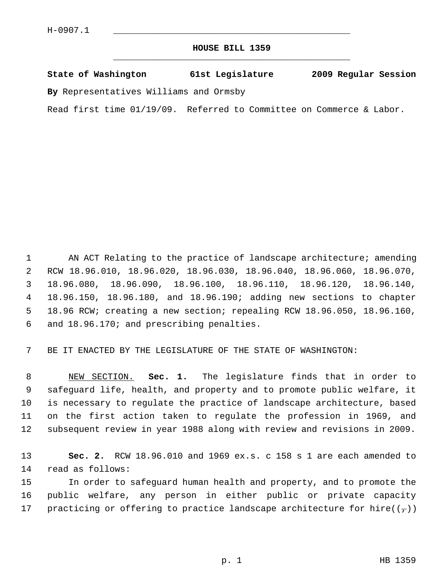## **HOUSE BILL 1359** \_\_\_\_\_\_\_\_\_\_\_\_\_\_\_\_\_\_\_\_\_\_\_\_\_\_\_\_\_\_\_\_\_\_\_\_\_\_\_\_\_\_\_\_\_

## **State of Washington 61st Legislature 2009 Regular Session**

**By** Representatives Williams and Ormsby

Read first time 01/19/09. Referred to Committee on Commerce & Labor.

1 AN ACT Relating to the practice of landscape architecture; amending 2 RCW 18.96.010, 18.96.020, 18.96.030, 18.96.040, 18.96.060, 18.96.070, 3 18.96.080, 18.96.090, 18.96.100, 18.96.110, 18.96.120, 18.96.140, 4 18.96.150, 18.96.180, and 18.96.190; adding new sections to chapter 5 18.96 RCW; creating a new section; repealing RCW 18.96.050, 18.96.160, 6 and 18.96.170; and prescribing penalties.

7 BE IT ENACTED BY THE LEGISLATURE OF THE STATE OF WASHINGTON:

 8 NEW SECTION. **Sec. 1.** The legislature finds that in order to 9 safeguard life, health, and property and to promote public welfare, it 10 is necessary to regulate the practice of landscape architecture, based 11 on the first action taken to regulate the profession in 1969, and 12 subsequent review in year 1988 along with review and revisions in 2009.

13 **Sec. 2.** RCW 18.96.010 and 1969 ex.s. c 158 s 1 are each amended to 14 read as follows:

15 In order to safeguard human health and property, and to promote the 16 public welfare, any person in either public or private capacity 17 practicing or offering to practice landscape architecture for hire( $(\tau)$ )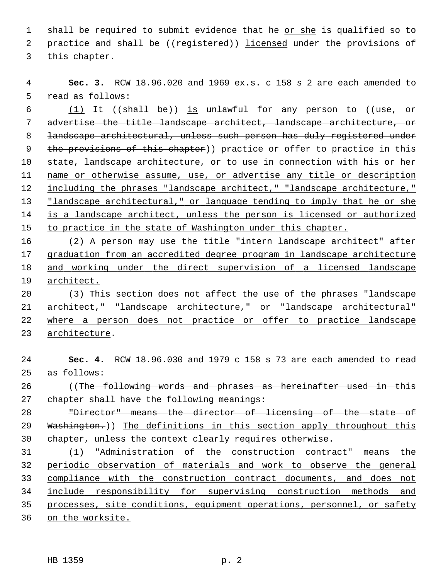1 shall be required to submit evidence that he or she is qualified so to 2 practice and shall be ((registered)) licensed under the provisions of 3 this chapter.

 **Sec. 3.** RCW 18.96.020 and 1969 ex.s. c 158 s 2 are each amended to 5 read as follows:

6 (1) It (( $\frac{1}{10}$ ) is unlawful for any person to (( $\frac{1}{100}$ ) is unlawful for any person to (( $\frac{1}{100}$ ) advertise the title landscape architect, landscape architecture, or 8 landscape architectural, unless such person has duly registered under 9 the provisions of this chapter)) practice or offer to practice in this state, landscape architecture, or to use in connection with his or her name or otherwise assume, use, or advertise any title or description 12 including the phrases "landscape architect," "landscape architecture," "landscape architectural," or language tending to imply that he or she is a landscape architect, unless the person is licensed or authorized to practice in the state of Washington under this chapter.

 (2) A person may use the title "intern landscape architect" after graduation from an accredited degree program in landscape architecture and working under the direct supervision of a licensed landscape architect.

 (3) This section does not affect the use of the phrases "landscape architect," "landscape architecture," or "landscape architectural" where a person does not practice or offer to practice landscape architecture.

 **Sec. 4.** RCW 18.96.030 and 1979 c 158 s 73 are each amended to read 25 as follows: 26 ((The following words and phrases as hereinafter used in this 27 chapter shall have the following meanings: "Director" means the director of licensing of the state of 29 Washington.)) The definitions in this section apply throughout this chapter, unless the context clearly requires otherwise. (1) "Administration of the construction contract" means the

 periodic observation of materials and work to observe the general compliance with the construction contract documents, and does not include responsibility for supervising construction methods and processes, site conditions, equipment operations, personnel, or safety on the worksite.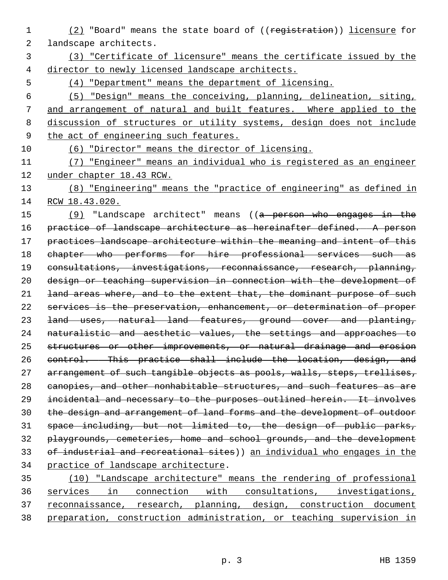- (2) "Board" means the state board of ((registration)) licensure for 2 landscape architects.
- (3) "Certificate of licensure" means the certificate issued by the director to newly licensed landscape architects.
- (4) "Department" means the department of licensing.

 (5) "Design" means the conceiving, planning, delineation, siting, and arrangement of natural and built features. Where applied to the discussion of structures or utility systems, design does not include the act of engineering such features.

(6) "Director" means the director of licensing.

 (7) "Engineer" means an individual who is registered as an engineer under chapter 18.43 RCW.

 (8) "Engineering" means the "practice of engineering" as defined in RCW 18.43.020.

15 (9) "Landscape architect" means ((a person who engages in the 16 practice of landscape architecture as hereinafter defined. A person 17 practices landscape architecture within the meaning and intent of this chapter who performs for hire professional services such as consultations, investigations, reconnaissance, research, planning, design or teaching supervision in connection with the development of 21 land areas where, and to the extent that, the dominant purpose of such services is the preservation, enhancement, or determination of proper land uses, natural land features, ground cover and planting, naturalistic and aesthetic values, the settings and approaches to 25 structures or other improvements, or natural drainage and erosion control. This practice shall include the location, design, and 27 arrangement of such tangible objects as pools, walls, steps, trellises, 28 canopies, and other nonhabitable structures, and such features as are incidental and necessary to the purposes outlined herein. It involves the design and arrangement of land forms and the development of outdoor space including, but not limited to, the design of public parks, playgrounds, cemeteries, home and school grounds, and the development 33 of industrial and recreational sites)) an individual who engages in the practice of landscape architecture.

 (10) "Landscape architecture" means the rendering of professional services in connection with consultations, investigations, reconnaissance, research, planning, design, construction document preparation, construction administration, or teaching supervision in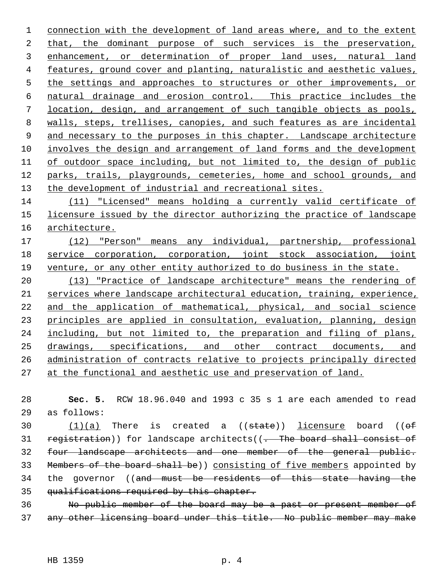connection with the development of land areas where, and to the extent that, the dominant purpose of such services is the preservation, enhancement, or determination of proper land uses, natural land features, ground cover and planting, naturalistic and aesthetic values, 5 the settings and approaches to structures or other improvements, or natural drainage and erosion control. This practice includes the location, design, and arrangement of such tangible objects as pools, walls, steps, trellises, canopies, and such features as are incidental and necessary to the purposes in this chapter. Landscape architecture involves the design and arrangement of land forms and the development of outdoor space including, but not limited to, the design of public 12 parks, trails, playgrounds, cemeteries, home and school grounds, and the development of industrial and recreational sites.

 (11) "Licensed" means holding a currently valid certificate of licensure issued by the director authorizing the practice of landscape architecture.

 (12) "Person" means any individual, partnership, professional service corporation, corporation, joint stock association, joint venture, or any other entity authorized to do business in the state.

 (13) "Practice of landscape architecture" means the rendering of services where landscape architectural education, training, experience, and the application of mathematical, physical, and social science 23 principles are applied in consultation, evaluation, planning, design including, but not limited to, the preparation and filing of plans, drawings, specifications, and other contract documents, and administration of contracts relative to projects principally directed at the functional and aesthetic use and preservation of land.

 **Sec. 5.** RCW 18.96.040 and 1993 c 35 s 1 are each amended to read 29 as follows:

30  $(1)(a)$  There is created a  $( (state) )$  licensure board  $( (of$ 31 registration)) for landscape architects( $(-$  The board shall consist of four landscape architects and one member of the general public. Members of the board shall be)) consisting of five members appointed by 34 the governor ((and must be residents of this state having the 35 qualifications required by this chapter.

 No public member of the board may be a past or present member of any other licensing board under this title. No public member may make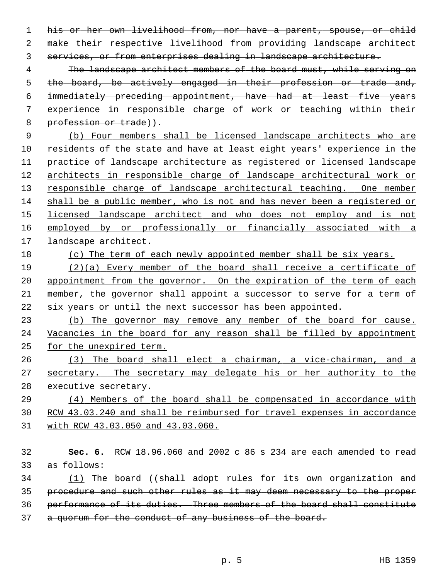his or her own livelihood from, nor have a parent, spouse, or child make their respective livelihood from providing landscape architect services, or from enterprises dealing in landscape architecture.

 The landscape architect members of the board must, while serving on the board, be actively engaged in their profession or trade and, immediately preceding appointment, have had at least five years experience in responsible charge of work or teaching within their 8 profession or trade)).

 (b) Four members shall be licensed landscape architects who are residents of the state and have at least eight years' experience in the practice of landscape architecture as registered or licensed landscape architects in responsible charge of landscape architectural work or 13 responsible charge of landscape architectural teaching. One member shall be a public member, who is not and has never been a registered or licensed landscape architect and who does not employ and is not employed by or professionally or financially associated with a landscape architect.

(c) The term of each newly appointed member shall be six years.

19 (2)(a) Every member of the board shall receive a certificate of 20 appointment from the governor. On the expiration of the term of each member, the governor shall appoint a successor to serve for a term of six years or until the next successor has been appointed.

 (b) The governor may remove any member of the board for cause. Vacancies in the board for any reason shall be filled by appointment for the unexpired term.

 (3) The board shall elect a chairman, a vice-chairman, and a secretary. The secretary may delegate his or her authority to the executive secretary.

 (4) Members of the board shall be compensated in accordance with RCW 43.03.240 and shall be reimbursed for travel expenses in accordance with RCW 43.03.050 and 43.03.060.

 **Sec. 6.** RCW 18.96.060 and 2002 c 86 s 234 are each amended to read 33 as follows:

34 (1) The board ((shall adopt rules for its own organization and procedure and such other rules as it may deem necessary to the proper performance of its duties. Three members of the board shall constitute

37 a quorum for the conduct of any business of the board.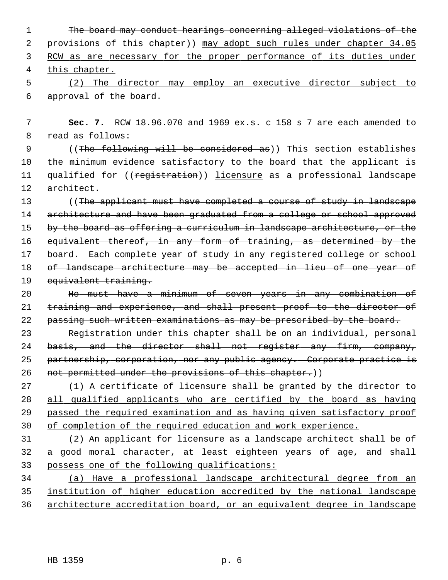The board may conduct hearings concerning alleged violations of the 2 provisions of this chapter)) may adopt such rules under chapter 34.05 RCW as are necessary for the proper performance of its duties under this chapter. (2) The director may employ an executive director subject to

6 approval of the board.

 7 **Sec. 7.** RCW 18.96.070 and 1969 ex.s. c 158 s 7 are each amended to 8 read as follows:

 9 ((The following will be considered as)) This section establishes 10 the minimum evidence satisfactory to the board that the applicant is 11 qualified for ((registration)) licensure as a professional landscape 12 architect.

13 ((The applicant must have completed a course of study in landscape 14 architecture and have been graduated from a college or school approved 15 by the board as offering a curriculum in landscape architecture, or the 16 equivalent thereof, in any form of training, as determined by the 17 board. Each complete year of study in any registered college or school 18 of landscape architecture may be accepted in lieu of one year of 19 equivalent training.

20 He must have a minimum of seven years in any combination of 21 training and experience, and shall present proof to the director of 22 passing such written examinations as may be prescribed by the board.

23 Registration under this chapter shall be on an individual, personal 24 basis, and the director shall not register any firm, company, 25 partnership, corporation, nor any public agency. Corporate practice is 26 not permitted under the provisions of this chapter.))

 (1) A certificate of licensure shall be granted by the director to all qualified applicants who are certified by the board as having passed the required examination and as having given satisfactory proof of completion of the required education and work experience.

31 (2) An applicant for licensure as a landscape architect shall be of 32 a good moral character, at least eighteen years of age, and shall 33 possess one of the following qualifications:

34 (a) Have a professional landscape architectural degree from an 35 institution of higher education accredited by the national landscape 36 architecture accreditation board, or an equivalent degree in landscape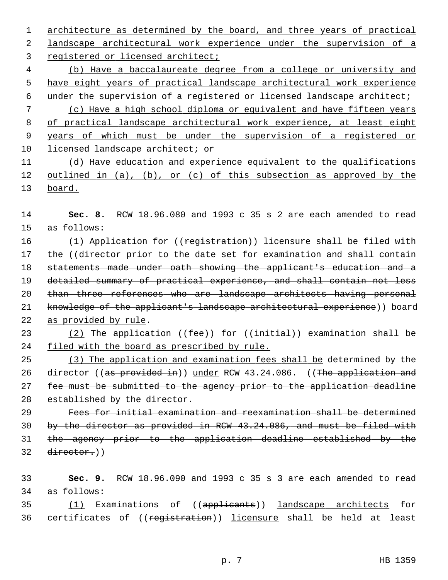architecture as determined by the board, and three years of practical landscape architectural work experience under the supervision of a

registered or licensed architect;

 (b) Have a baccalaureate degree from a college or university and have eight years of practical landscape architectural work experience under the supervision of a registered or licensed landscape architect;

 (c) Have a high school diploma or equivalent and have fifteen years of practical landscape architectural work experience, at least eight years of which must be under the supervision of a registered or licensed landscape architect; or

 (d) Have education and experience equivalent to the qualifications outlined in (a), (b), or (c) of this subsection as approved by the board.

 **Sec. 8.** RCW 18.96.080 and 1993 c 35 s 2 are each amended to read 15 as follows:

16 (1) Application for ((registration)) licensure shall be filed with 17 the ((director prior to the date set for examination and shall contain statements made under oath showing the applicant's education and a detailed summary of practical experience, and shall contain not less 20 than three references who are landscape architects having personal 21 knowledge of the applicant's landscape architectural experience)) board as provided by rule.

23 (2) The application  $($  ( $fee$ ) for  $($   $\{$ initial)) examination shall be filed with the board as prescribed by rule.

 (3) The application and examination fees shall be determined by the 26 director ((as provided in)) under RCW 43.24.086. ((The application and fee must be submitted to the agency prior to the application deadline 28 established by the director.

 Fees for initial examination and reexamination shall be determined by the director as provided in RCW 43.24.086, and must be filed with the agency prior to the application deadline established by the director.)

 **Sec. 9.** RCW 18.96.090 and 1993 c 35 s 3 are each amended to read 34 as follows:

35 (1) Examinations of ((applicants)) landscape architects for 36 certificates of ((registration)) licensure shall be held at least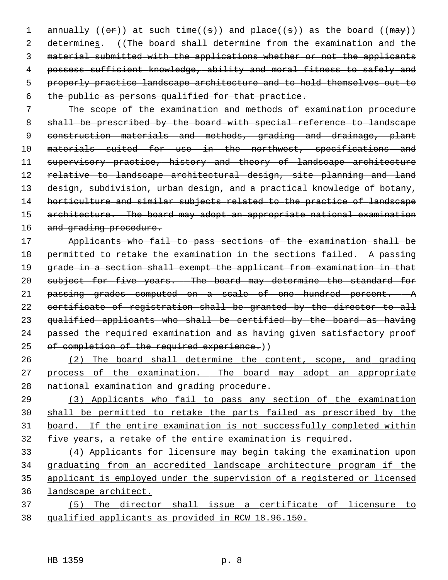1 annually (( $\Theta$ r)) at such time( $(\theta)$ ) and place( $(\theta)$ ) as the board ( $(\theta$  $\theta$ )) 2 determines. ((The board shall determine from the examination and the 3 material submitted with the applications whether or not the applicants 4 possess sufficient knowledge, ability and moral fitness to safely and 5 properly practice landscape architecture and to hold themselves out to 6 the public as persons qualified for that practice.

 7 The scope of the examination and methods of examination procedure 8 shall be prescribed by the board with special reference to landscape 9 construction materials and methods, grading and drainage, plant 10 materials suited for use in the northwest, specifications and 11 supervisory practice, history and theory of landscape architecture 12 relative to landscape architectural design, site planning and land 13 design, subdivision, urban design, and a practical knowledge of botany, 14 horticulture and similar subjects related to the practice of landscape 15 architecture. The board may adopt an appropriate national examination 16 and grading procedure.

17 Applicants who fail to pass sections of the examination shall be 18 permitted to retake the examination in the sections failed. A passing 19 grade in a section shall exempt the applicant from examination in that 20 subject for five years. The board may determine the standard for 21 passing grades computed on a scale of one hundred percent. A 22 certificate of registration shall be granted by the director to all 23 qualified applicants who shall be certified by the board as having 24 passed the required examination and as having given satisfactory proof 25 of completion of the required experience.))

26 (2) The board shall determine the content, scope, and grading 27 process of the examination. The board may adopt an appropriate 28 national examination and grading procedure.

 (3) Applicants who fail to pass any section of the examination shall be permitted to retake the parts failed as prescribed by the board. If the entire examination is not successfully completed within five years, a retake of the entire examination is required.

 (4) Applicants for licensure may begin taking the examination upon graduating from an accredited landscape architecture program if the applicant is employed under the supervision of a registered or licensed landscape architect.

37 (5) The director shall issue a certificate of licensure to 38 qualified applicants as provided in RCW 18.96.150.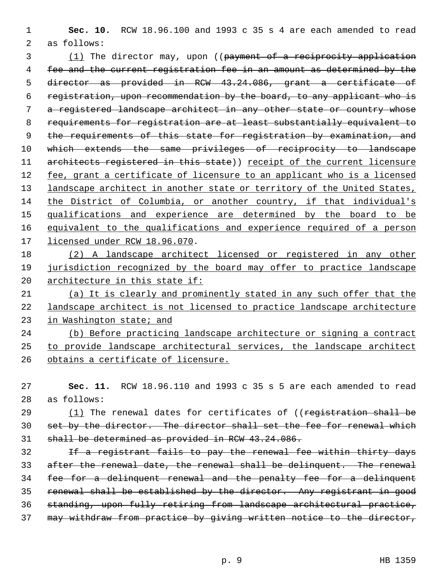**Sec. 10.** RCW 18.96.100 and 1993 c 35 s 4 are each amended to read 2 as follows:

3 (1) The director may, upon ((payment of a reciprocity application fee and the current registration fee in an amount as determined by the director as provided in RCW 43.24.086, grant a certificate of registration, upon recommendation by the board, to any applicant who is a registered landscape architect in any other state or country whose requirements for registration are at least substantially equivalent to 9 the requirements of this state for registration by examination, and 10 which extends the same privileges of reciprocity to landscape 11 architects registered in this state)) receipt of the current licensure fee, grant a certificate of licensure to an applicant who is a licensed 13 landscape architect in another state or territory of the United States, the District of Columbia, or another country, if that individual's qualifications and experience are determined by the board to be equivalent to the qualifications and experience required of a person licensed under RCW 18.96.070.

 (2) A landscape architect licensed or registered in any other jurisdiction recognized by the board may offer to practice landscape architecture in this state if:

 (a) It is clearly and prominently stated in any such offer that the landscape architect is not licensed to practice landscape architecture in Washington state; and

 (b) Before practicing landscape architecture or signing a contract to provide landscape architectural services, the landscape architect obtains a certificate of licensure.

 **Sec. 11.** RCW 18.96.110 and 1993 c 35 s 5 are each amended to read 28 as follows:

29 (1) The renewal dates for certificates of ((registration shall be set by the director. The director shall set the fee for renewal which shall be determined as provided in RCW 43.24.086.

 If a registrant fails to pay the renewal fee within thirty days after the renewal date, the renewal shall be delinquent. The renewal fee for a delinquent renewal and the penalty fee for a delinquent renewal shall be established by the director. Any registrant in good standing, upon fully retiring from landscape architectural practice, may withdraw from practice by giving written notice to the director,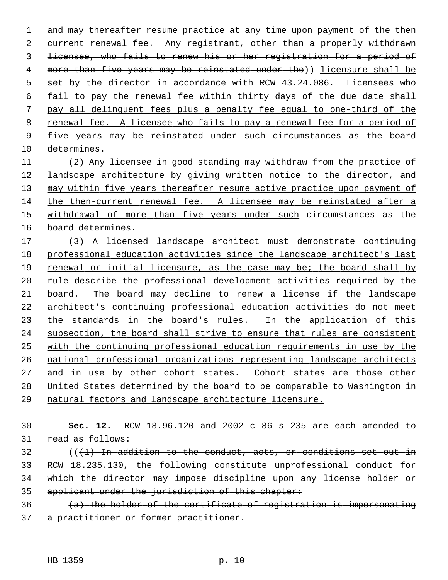1 and may thereafter resume practice at any time upon payment of the then current renewal fee. Any registrant, other than a properly withdrawn licensee, who fails to renew his or her registration for a period of more than five years may be reinstated under the)) licensure shall be 5 set by the director in accordance with RCW 43.24.086. Licensees who fail to pay the renewal fee within thirty days of the due date shall pay all delinquent fees plus a penalty fee equal to one-third of the renewal fee. A licensee who fails to pay a renewal fee for a period of five years may be reinstated under such circumstances as the board determines. (2) Any licensee in good standing may withdraw from the practice of

 landscape architecture by giving written notice to the director, and may within five years thereafter resume active practice upon payment of the then-current renewal fee. A licensee may be reinstated after a withdrawal of more than five years under such circumstances as the 16 board determines.

 (3) A licensed landscape architect must demonstrate continuing professional education activities since the landscape architect's last renewal or initial licensure, as the case may be; the board shall by rule describe the professional development activities required by the board. The board may decline to renew a license if the landscape architect's continuing professional education activities do not meet 23 the standards in the board's rules. In the application of this subsection, the board shall strive to ensure that rules are consistent with the continuing professional education requirements in use by the national professional organizations representing landscape architects 27 and in use by other cohort states. Cohort states are those other United States determined by the board to be comparable to Washington in natural factors and landscape architecture licensure.

 **Sec. 12.** RCW 18.96.120 and 2002 c 86 s 235 are each amended to 31 read as follows:

 (( $(1)$  In addition to the conduct, acts, or conditions set out in RCW 18.235.130, the following constitute unprofessional conduct for which the director may impose discipline upon any license holder or applicant under the jurisdiction of this chapter:

 (a) The holder of the certificate of registration is impersonating a practitioner or former practitioner.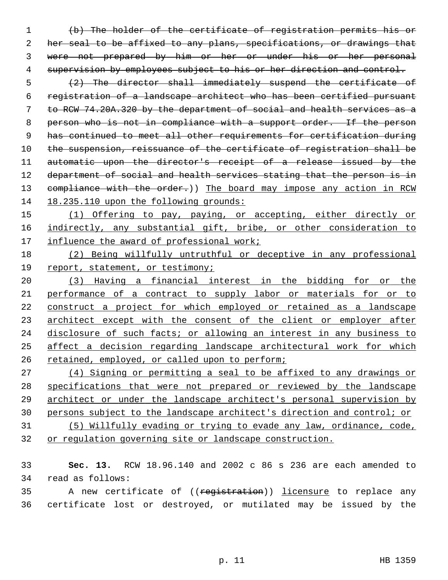(b) The holder of the certificate of registration permits his or her seal to be affixed to any plans, specifications, or drawings that were not prepared by him or her or under his or her personal 4 supervision by employees subject to his or her direction and control.

 (2) The director shall immediately suspend the certificate of registration of a landscape architect who has been certified pursuant to RCW 74.20A.320 by the department of social and health services as a 8 person who is not in compliance with a support order. If the person has continued to meet all other requirements for certification during 10 the suspension, reissuance of the certificate of registration shall be 11 automatic upon the director's receipt of a release issued by the 12 department of social and health services stating that the person is in 13 compliance with the order.)) The board may impose any action in RCW 14 18.235.110 upon the following grounds:

 (1) Offering to pay, paying, or accepting, either directly or indirectly, any substantial gift, bribe, or other consideration to influence the award of professional work;

 (2) Being willfully untruthful or deceptive in any professional report, statement, or testimony;

 (3) Having a financial interest in the bidding for or the performance of a contract to supply labor or materials for or to construct a project for which employed or retained as a landscape architect except with the consent of the client or employer after disclosure of such facts; or allowing an interest in any business to affect a decision regarding landscape architectural work for which retained, employed, or called upon to perform;

 (4) Signing or permitting a seal to be affixed to any drawings or specifications that were not prepared or reviewed by the landscape architect or under the landscape architect's personal supervision by persons subject to the landscape architect's direction and control; or (5) Willfully evading or trying to evade any law, ordinance, code,

or regulation governing site or landscape construction.

 **Sec. 13.** RCW 18.96.140 and 2002 c 86 s 236 are each amended to 34 read as follows:

35 A new certificate of ((registration)) licensure to replace any 36 certificate lost or destroyed, or mutilated may be issued by the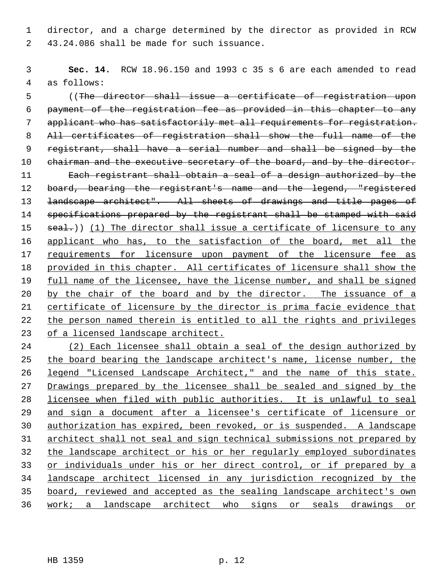1 director, and a charge determined by the director as provided in RCW 2 43.24.086 shall be made for such issuance.

 **Sec. 14.** RCW 18.96.150 and 1993 c 35 s 6 are each amended to read 4 as follows:

 5 ((The director shall issue a certificate of registration upon payment of the registration fee as provided in this chapter to any applicant who has satisfactorily met all requirements for registration. All certificates of registration shall show the full name of the 9 registrant, shall have a serial number and shall be signed by the 10 chairman and the executive secretary of the board, and by the director. Each registrant shall obtain a seal of a design authorized by the 12 board, bearing the registrant's name and the legend, "registered 13 <del>landscape architect". All sheets of drawings and title pages of</del> 14 specifications prepared by the registrant shall be stamped with said  $real.)$  (1) The director shall issue a certificate of licensure to any applicant who has, to the satisfaction of the board, met all the requirements for licensure upon payment of the licensure fee as provided in this chapter. All certificates of licensure shall show the full name of the licensee, have the license number, and shall be signed 20 by the chair of the board and by the director. The issuance of a certificate of licensure by the director is prima facie evidence that the person named therein is entitled to all the rights and privileges of a licensed landscape architect.

 (2) Each licensee shall obtain a seal of the design authorized by the board bearing the landscape architect's name, license number, the legend "Licensed Landscape Architect," and the name of this state. 27 Drawings prepared by the licensee shall be sealed and signed by the licensee when filed with public authorities. It is unlawful to seal and sign a document after a licensee's certificate of licensure or authorization has expired, been revoked, or is suspended. A landscape architect shall not seal and sign technical submissions not prepared by the landscape architect or his or her regularly employed subordinates or individuals under his or her direct control, or if prepared by a landscape architect licensed in any jurisdiction recognized by the board, reviewed and accepted as the sealing landscape architect's own work; a landscape architect who signs or seals drawings or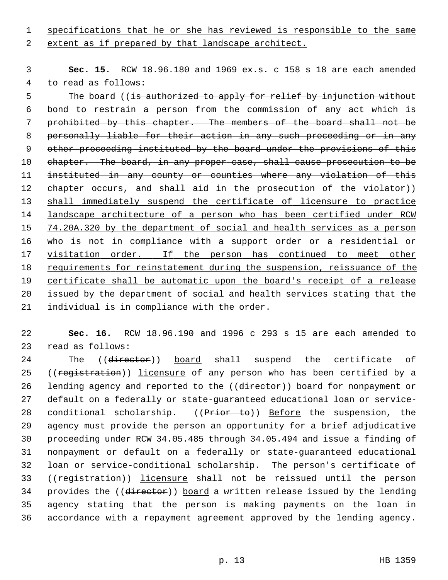1 specifications that he or she has reviewed is responsible to the same

2 extent as if prepared by that landscape architect.

 3 **Sec. 15.** RCW 18.96.180 and 1969 ex.s. c 158 s 18 are each amended 4 to read as follows:

5 The board ((is authorized to apply for relief by injunction without 6 bond to restrain a person from the commission of any act which is 7 prohibited by this chapter. The members of the board shall not be 8 personally liable for their action in any such proceeding or in any 9 other proceeding instituted by the board under the provisions of this 10 chapter. The board, in any proper case, shall cause prosecution to be 11 instituted in any county or counties where any violation of this 12 chapter occurs, and shall aid in the prosecution of the violator)) 13 shall immediately suspend the certificate of licensure to practice 14 landscape architecture of a person who has been certified under RCW 15 74.20A.320 by the department of social and health services as a person 16 who is not in compliance with a support order or a residential or 17 visitation order. If the person has continued to meet other 18 requirements for reinstatement during the suspension, reissuance of the 19 certificate shall be automatic upon the board's receipt of a release 20 issued by the department of social and health services stating that the 21 individual is in compliance with the order.

22 **Sec. 16.** RCW 18.96.190 and 1996 c 293 s 15 are each amended to 23 read as follows:

24 The ((director)) board shall suspend the certificate of 25 ((registration)) licensure of any person who has been certified by a 26 lending agency and reported to the ((director)) board for nonpayment or 27 default on a federally or state-guaranteed educational loan or service-28 conditional scholarship. ((Prior to)) Before the suspension, the 29 agency must provide the person an opportunity for a brief adjudicative 30 proceeding under RCW 34.05.485 through 34.05.494 and issue a finding of 31 nonpayment or default on a federally or state-guaranteed educational 32 loan or service-conditional scholarship. The person's certificate of 33 ((registration)) licensure shall not be reissued until the person 34 provides the ((director)) board a written release issued by the lending 35 agency stating that the person is making payments on the loan in 36 accordance with a repayment agreement approved by the lending agency.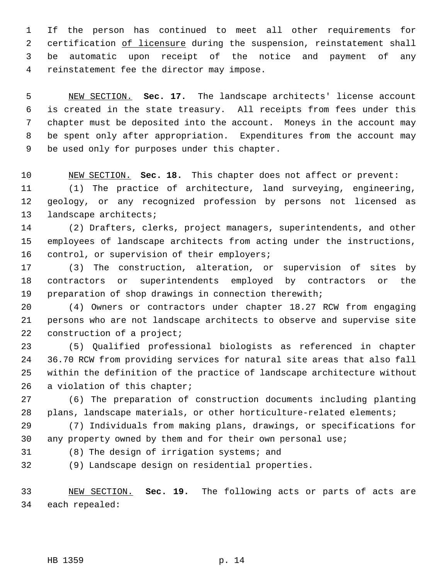1 If the person has continued to meet all other requirements for 2 certification of licensure during the suspension, reinstatement shall 3 be automatic upon receipt of the notice and payment of any 4 reinstatement fee the director may impose.

 5 NEW SECTION. **Sec. 17.** The landscape architects' license account 6 is created in the state treasury. All receipts from fees under this 7 chapter must be deposited into the account. Moneys in the account may 8 be spent only after appropriation. Expenditures from the account may 9 be used only for purposes under this chapter.

10 NEW SECTION. **Sec. 18.** This chapter does not affect or prevent:

11 (1) The practice of architecture, land surveying, engineering, 12 geology, or any recognized profession by persons not licensed as 13 landscape architects;

14 (2) Drafters, clerks, project managers, superintendents, and other 15 employees of landscape architects from acting under the instructions, 16 control, or supervision of their employers;

17 (3) The construction, alteration, or supervision of sites by 18 contractors or superintendents employed by contractors or the 19 preparation of shop drawings in connection therewith;

20 (4) Owners or contractors under chapter 18.27 RCW from engaging 21 persons who are not landscape architects to observe and supervise site 22 construction of a project;

23 (5) Qualified professional biologists as referenced in chapter 24 36.70 RCW from providing services for natural site areas that also fall 25 within the definition of the practice of landscape architecture without 26 a violation of this chapter;

27 (6) The preparation of construction documents including planting 28 plans, landscape materials, or other horticulture-related elements;

29 (7) Individuals from making plans, drawings, or specifications for 30 any property owned by them and for their own personal use;

31 (8) The design of irrigation systems; and

32 (9) Landscape design on residential properties.

33 NEW SECTION. **Sec. 19.** The following acts or parts of acts are 34 each repealed: